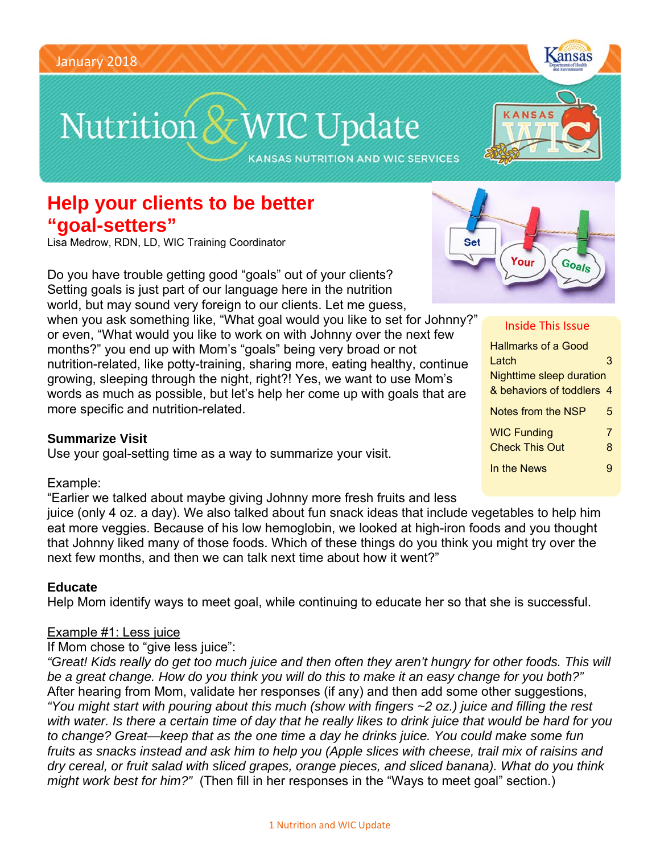# Nutrition & WIC Update

**KANSAS NUTRITION AND WIC SERVICES** 

## **Help your clients to be better "goal-setters"**

Lisa Medrow, RDN, LD, WIC Training Coordinator

Do you have trouble getting good "goals" out of your clients? Setting goals is just part of our language here in the nutrition world, but may sound very foreign to our clients. Let me guess,

when you ask something like, "What goal would you like to set for Johnny?" or even, "What would you like to work on with Johnny over the next few months?" you end up with Mom's "goals" being very broad or not nutrition-related, like potty-training, sharing more, eating healthy, continue growing, sleeping through the night, right?! Yes, we want to use Mom's words as much as possible, but let's help her come up with goals that are more specific and nutrition-related.

#### **Summarize Visit**

Use your goal-setting time as a way to summarize your visit.

next few months, and then we can talk next time about how it went?"

#### Example:

"Earlier we talked about maybe giving Johnny more fresh fruits and less juice (only 4 oz. a day). We also talked about fun snack ideas that include vegetables to help him eat more veggies. Because of his low hemoglobin, we looked at high-iron foods and you thought that Johnny liked many of those foods. Which of these things do you think you might try over the

#### **Educate**

Help Mom identify ways to meet goal, while continuing to educate her so that she is successful.

#### Example #1: Less juice

If Mom chose to "give less juice":

*"Great! Kids really do get too much juice and then often they aren't hungry for other foods. This will be a great change. How do you think you will do this to make it an easy change for you both?"*  After hearing from Mom, validate her responses (if any) and then add some other suggestions, *"You might start with pouring about this much (show with fingers ~2 oz.) juice and filling the rest with water. Is there a certain time of day that he really likes to drink juice that would be hard for you to change? Great—keep that as the one time a day he drinks juice. You could make some fun fruits as snacks instead and ask him to help you (Apple slices with cheese, trail mix of raisins and dry cereal, or fruit salad with sliced grapes, orange pieces, and sliced banana). What do you think might work best for him?"* (Then fill in her responses in the "Ways to meet goal" section.)



Kansas

| Inside This Issue               |   |
|---------------------------------|---|
| <b>Hallmarks of a Good</b>      |   |
| Latch                           | З |
| <b>Nighttime sleep duration</b> |   |
| & behaviors of toddlers 4       |   |
| <b>Notes from the NSP</b>       | 5 |
| <b>WIC Funding</b>              | 7 |
| <b>Check This Out</b>           | 8 |
| In the News                     | g |
|                                 |   |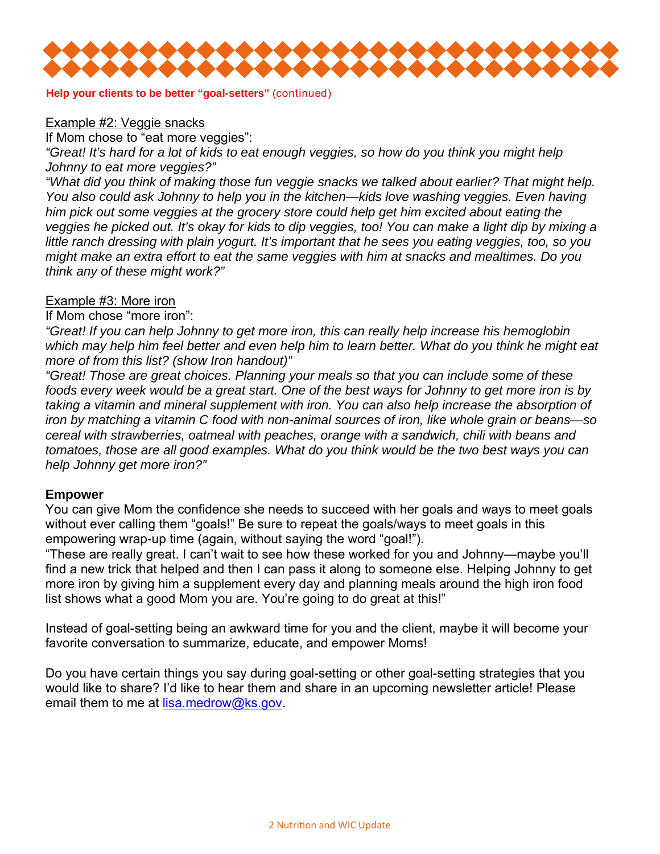

**Help your clients to be better "goal-setters"** (continued)

#### Example #2: Veggie snacks

If Mom chose to "eat more veggies":

*"Great! It's hard for a lot of kids to eat enough veggies, so how do you think you might help Johnny to eat more veggies?"* 

*"What did you think of making those fun veggie snacks we talked about earlier? That might help. You also could ask Johnny to help you in the kitchen—kids love washing veggies. Even having him pick out some veggies at the grocery store could help get him excited about eating the veggies he picked out. It's okay for kids to dip veggies, too! You can make a light dip by mixing a little ranch dressing with plain yogurt. It's important that he sees you eating veggies, too, so you might make an extra effort to eat the same veggies with him at snacks and mealtimes. Do you think any of these might work?"* 

#### Example #3: More iron

If Mom chose "more iron":

*"Great! If you can help Johnny to get more iron, this can really help increase his hemoglobin which may help him feel better and even help him to learn better. What do you think he might eat more of from this list? (show Iron handout)"* 

*"Great! Those are great choices. Planning your meals so that you can include some of these foods every week would be a great start. One of the best ways for Johnny to get more iron is by taking a vitamin and mineral supplement with iron. You can also help increase the absorption of iron by matching a vitamin C food with non-animal sources of iron, like whole grain or beans—so cereal with strawberries, oatmeal with peaches, orange with a sandwich, chili with beans and tomatoes, those are all good examples. What do you think would be the two best ways you can help Johnny get more iron?"* 

#### **Empower**

You can give Mom the confidence she needs to succeed with her goals and ways to meet goals without ever calling them "goals!" Be sure to repeat the goals/ways to meet goals in this empowering wrap-up time (again, without saying the word "goal!").

"These are really great. I can't wait to see how these worked for you and Johnny—maybe you'll find a new trick that helped and then I can pass it along to someone else. Helping Johnny to get more iron by giving him a supplement every day and planning meals around the high iron food list shows what a good Mom you are. You're going to do great at this!"

Instead of goal-setting being an awkward time for you and the client, maybe it will become your favorite conversation to summarize, educate, and empower Moms!

Do you have certain things you say during goal-setting or other goal-setting strategies that you would like to share? I'd like to hear them and share in an upcoming newsletter article! Please email them to me at lisa.medrow@ks.gov.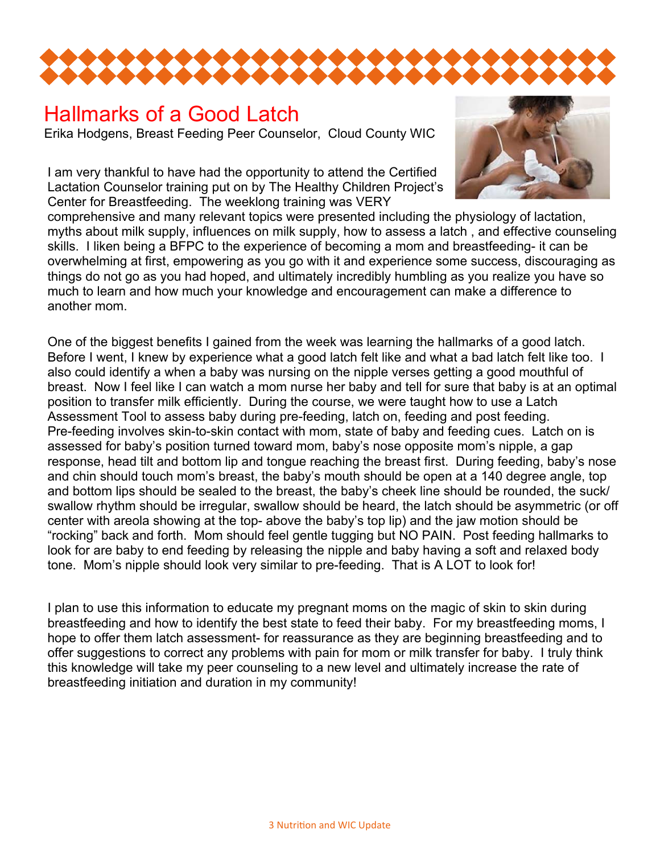

#### Hallmarks of a Good Latch Erika Hodgens, Breast Feeding Peer Counselor, Cloud County WIC

I am very thankful to have had the opportunity to attend the Certified Lactation Counselor training put on by The Healthy Children Project's Center for Breastfeeding. The weeklong training was VERY



comprehensive and many relevant topics were presented including the physiology of lactation, myths about milk supply, influences on milk supply, how to assess a latch , and effective counseling skills. I liken being a BFPC to the experience of becoming a mom and breastfeeding- it can be overwhelming at first, empowering as you go with it and experience some success, discouraging as things do not go as you had hoped, and ultimately incredibly humbling as you realize you have so much to learn and how much your knowledge and encouragement can make a difference to another mom.

One of the biggest benefits I gained from the week was learning the hallmarks of a good latch. Before I went, I knew by experience what a good latch felt like and what a bad latch felt like too. I also could identify a when a baby was nursing on the nipple verses getting a good mouthful of breast. Now I feel like I can watch a mom nurse her baby and tell for sure that baby is at an optimal position to transfer milk efficiently. During the course, we were taught how to use a Latch Assessment Tool to assess baby during pre-feeding, latch on, feeding and post feeding. Pre-feeding involves skin-to-skin contact with mom, state of baby and feeding cues. Latch on is assessed for baby's position turned toward mom, baby's nose opposite mom's nipple, a gap response, head tilt and bottom lip and tongue reaching the breast first. During feeding, baby's nose and chin should touch mom's breast, the baby's mouth should be open at a 140 degree angle, top and bottom lips should be sealed to the breast, the baby's cheek line should be rounded, the suck/ swallow rhythm should be irregular, swallow should be heard, the latch should be asymmetric (or off center with areola showing at the top- above the baby's top lip) and the jaw motion should be "rocking" back and forth. Mom should feel gentle tugging but NO PAIN. Post feeding hallmarks to look for are baby to end feeding by releasing the nipple and baby having a soft and relaxed body tone. Mom's nipple should look very similar to pre-feeding. That is A LOT to look for!

I plan to use this information to educate my pregnant moms on the magic of skin to skin during breastfeeding and how to identify the best state to feed their baby. For my breastfeeding moms, I hope to offer them latch assessment- for reassurance as they are beginning breastfeeding and to offer suggestions to correct any problems with pain for mom or milk transfer for baby. I truly think this knowledge will take my peer counseling to a new level and ultimately increase the rate of breastfeeding initiation and duration in my community!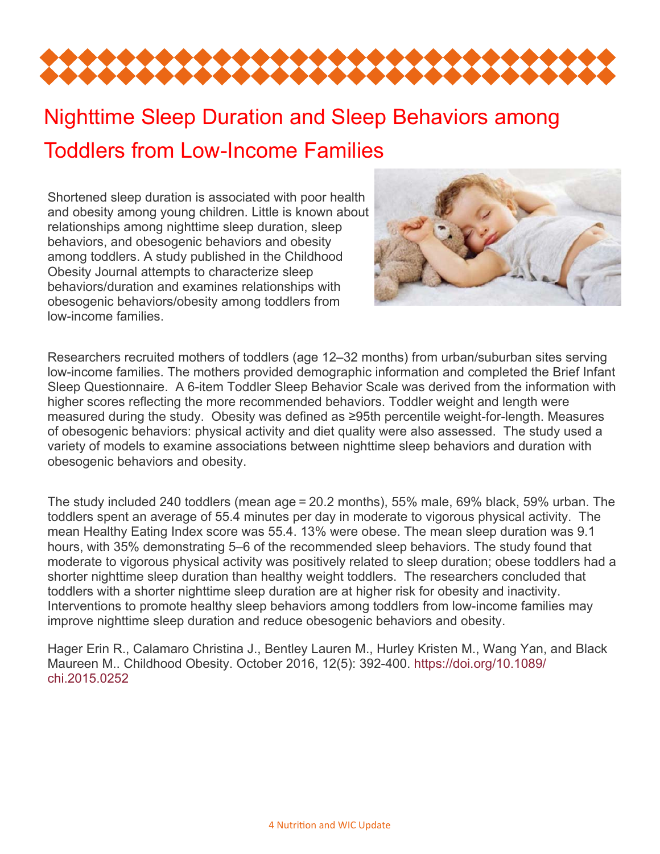

# Nighttime Sleep Duration and Sleep Behaviors among Toddlers from Low-Income Families

Shortened sleep duration is associated with poor health and obesity among young children. Little is known about relationships among nighttime sleep duration, sleep behaviors, and obesogenic behaviors and obesity among toddlers. A study published in the Childhood Obesity Journal attempts to characterize sleep behaviors/duration and examines relationships with obesogenic behaviors/obesity among toddlers from low-income families.



Researchers recruited mothers of toddlers (age 12–32 months) from urban/suburban sites serving low-income families. The mothers provided demographic information and completed the Brief Infant Sleep Questionnaire. A 6-item Toddler Sleep Behavior Scale was derived from the information with higher scores reflecting the more recommended behaviors. Toddler weight and length were measured during the study. Obesity was defined as ≥95th percentile weight-for-length. Measures of obesogenic behaviors: physical activity and diet quality were also assessed. The study used a variety of models to examine associations between nighttime sleep behaviors and duration with obesogenic behaviors and obesity.

The study included 240 toddlers (mean age = 20.2 months), 55% male, 69% black, 59% urban. The toddlers spent an average of 55.4 minutes per day in moderate to vigorous physical activity. The mean Healthy Eating Index score was 55.4. 13% were obese. The mean sleep duration was 9.1 hours, with 35% demonstrating 5–6 of the recommended sleep behaviors. The study found that moderate to vigorous physical activity was positively related to sleep duration; obese toddlers had a shorter nighttime sleep duration than healthy weight toddlers. The researchers concluded that toddlers with a shorter nighttime sleep duration are at higher risk for obesity and inactivity. Interventions to promote healthy sleep behaviors among toddlers from low-income families may improve nighttime sleep duration and reduce obesogenic behaviors and obesity.

Hager Erin R., Calamaro Christina J., Bentley Lauren M., Hurley Kristen M., Wang Yan, and Black Maureen M.. Childhood Obesity. October 2016, 12(5): 392-400. https://doi.org/10.1089/ chi.2015.0252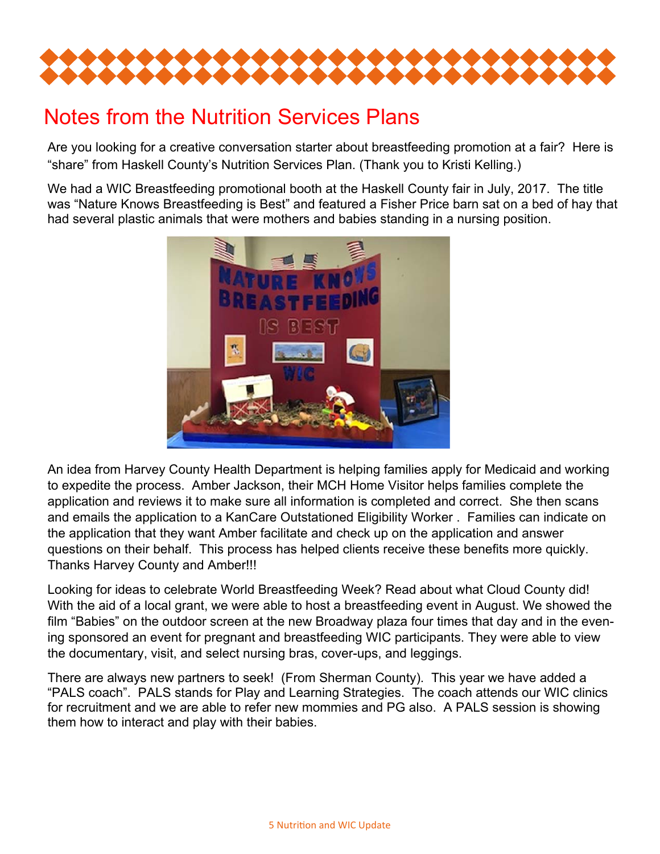

# Notes from the Nutrition Services Plans

Are you looking for a creative conversation starter about breastfeeding promotion at a fair? Here is "share" from Haskell County's Nutrition Services Plan. (Thank you to Kristi Kelling.)

We had a WIC Breastfeeding promotional booth at the Haskell County fair in July, 2017. The title was "Nature Knows Breastfeeding is Best" and featured a Fisher Price barn sat on a bed of hay that had several plastic animals that were mothers and babies standing in a nursing position.



An idea from Harvey County Health Department is helping families apply for Medicaid and working to expedite the process. Amber Jackson, their MCH Home Visitor helps families complete the application and reviews it to make sure all information is completed and correct. She then scans and emails the application to a KanCare Outstationed Eligibility Worker . Families can indicate on the application that they want Amber facilitate and check up on the application and answer questions on their behalf. This process has helped clients receive these benefits more quickly. Thanks Harvey County and Amber!!!

Looking for ideas to celebrate World Breastfeeding Week? Read about what Cloud County did! With the aid of a local grant, we were able to host a breastfeeding event in August. We showed the film "Babies" on the outdoor screen at the new Broadway plaza four times that day and in the evening sponsored an event for pregnant and breastfeeding WIC participants. They were able to view the documentary, visit, and select nursing bras, cover-ups, and leggings.

There are always new partners to seek! (From Sherman County). This year we have added a "PALS coach". PALS stands for Play and Learning Strategies. The coach attends our WIC clinics for recruitment and we are able to refer new mommies and PG also. A PALS session is showing them how to interact and play with their babies.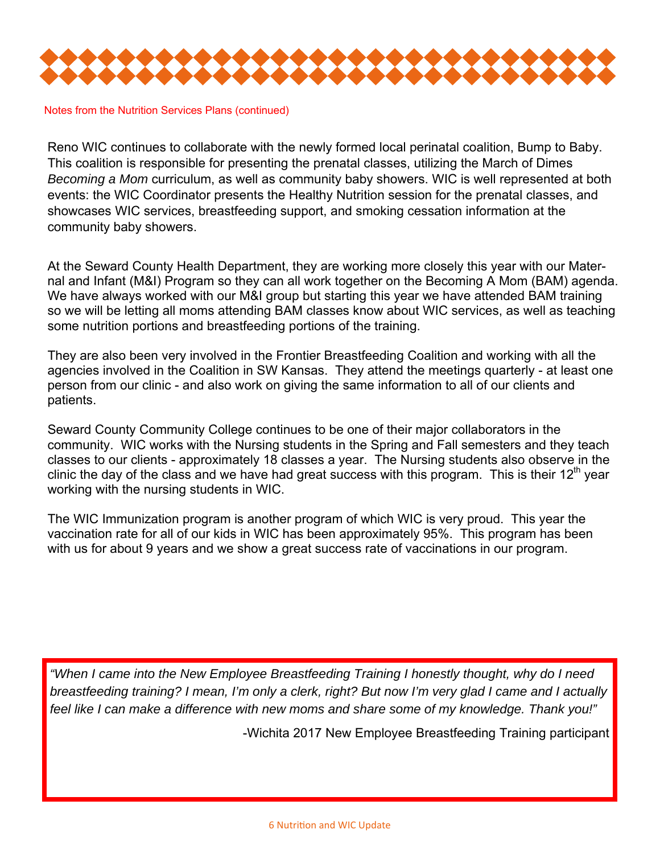

Notes from the Nutrition Services Plans (continued)

Reno WIC continues to collaborate with the newly formed local perinatal coalition, Bump to Baby. This coalition is responsible for presenting the prenatal classes, utilizing the March of Dimes *Becoming a Mom* curriculum, as well as community baby showers. WIC is well represented at both events: the WIC Coordinator presents the Healthy Nutrition session for the prenatal classes, and showcases WIC services, breastfeeding support, and smoking cessation information at the community baby showers.

At the Seward County Health Department, they are working more closely this year with our Maternal and Infant (M&I) Program so they can all work together on the Becoming A Mom (BAM) agenda. We have always worked with our M&I group but starting this year we have attended BAM training so we will be letting all moms attending BAM classes know about WIC services, as well as teaching some nutrition portions and breastfeeding portions of the training.

They are also been very involved in the Frontier Breastfeeding Coalition and working with all the agencies involved in the Coalition in SW Kansas. They attend the meetings quarterly - at least one person from our clinic - and also work on giving the same information to all of our clients and patients.

Seward County Community College continues to be one of their major collaborators in the community. WIC works with the Nursing students in the Spring and Fall semesters and they teach classes to our clients - approximately 18 classes a year. The Nursing students also observe in the clinic the day of the class and we have had great success with this program. This is their 12<sup>th</sup> year working with the nursing students in WIC.

The WIC Immunization program is another program of which WIC is very proud. This year the vaccination rate for all of our kids in WIC has been approximately 95%. This program has been with us for about 9 years and we show a great success rate of vaccinations in our program.

*"When I came into the New Employee Breastfeeding Training I honestly thought, why do I need breastfeeding training? I mean, I'm only a clerk, right? But now I'm very glad I came and I actually feel like I can make a difference with new moms and share some of my knowledge. Thank you!"* 

-Wichita 2017 New Employee Breastfeeding Training participant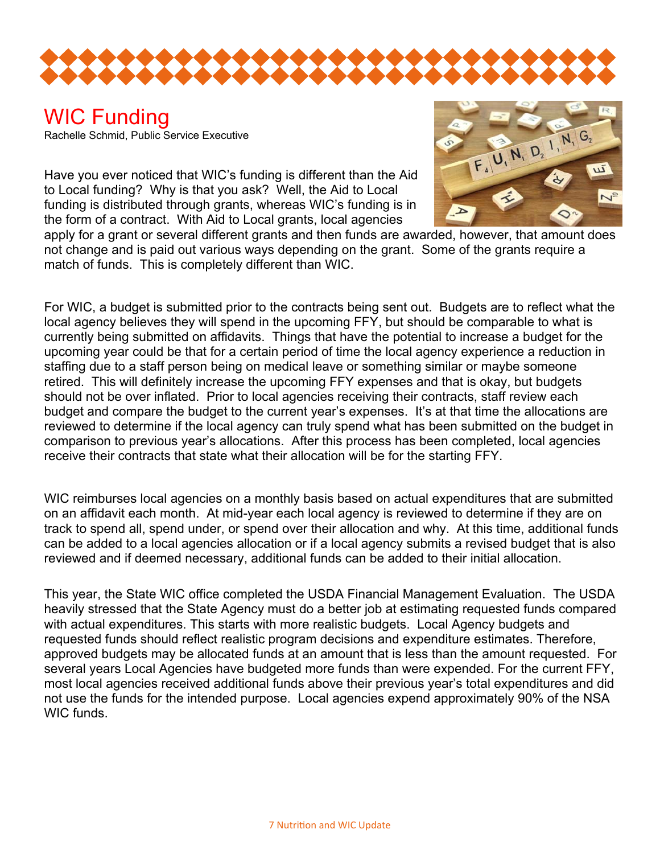

#### WIC Funding Rachelle Schmid, Public Service Executive

Have you ever noticed that WIC's funding is different than the Aid to Local funding? Why is that you ask? Well, the Aid to Local funding is distributed through grants, whereas WIC's funding is in the form of a contract. With Aid to Local grants, local agencies



apply for a grant or several different grants and then funds are awarded, however, that amount does not change and is paid out various ways depending on the grant. Some of the grants require a match of funds. This is completely different than WIC.

For WIC, a budget is submitted prior to the contracts being sent out. Budgets are to reflect what the local agency believes they will spend in the upcoming FFY, but should be comparable to what is currently being submitted on affidavits. Things that have the potential to increase a budget for the upcoming year could be that for a certain period of time the local agency experience a reduction in staffing due to a staff person being on medical leave or something similar or maybe someone retired. This will definitely increase the upcoming FFY expenses and that is okay, but budgets should not be over inflated. Prior to local agencies receiving their contracts, staff review each budget and compare the budget to the current year's expenses. It's at that time the allocations are reviewed to determine if the local agency can truly spend what has been submitted on the budget in comparison to previous year's allocations. After this process has been completed, local agencies receive their contracts that state what their allocation will be for the starting FFY.

WIC reimburses local agencies on a monthly basis based on actual expenditures that are submitted on an affidavit each month. At mid-year each local agency is reviewed to determine if they are on track to spend all, spend under, or spend over their allocation and why. At this time, additional funds can be added to a local agencies allocation or if a local agency submits a revised budget that is also reviewed and if deemed necessary, additional funds can be added to their initial allocation.

This year, the State WIC office completed the USDA Financial Management Evaluation. The USDA heavily stressed that the State Agency must do a better job at estimating requested funds compared with actual expenditures. This starts with more realistic budgets. Local Agency budgets and requested funds should reflect realistic program decisions and expenditure estimates. Therefore, approved budgets may be allocated funds at an amount that is less than the amount requested. For several years Local Agencies have budgeted more funds than were expended. For the current FFY, most local agencies received additional funds above their previous year's total expenditures and did not use the funds for the intended purpose. Local agencies expend approximately 90% of the NSA WIC funds.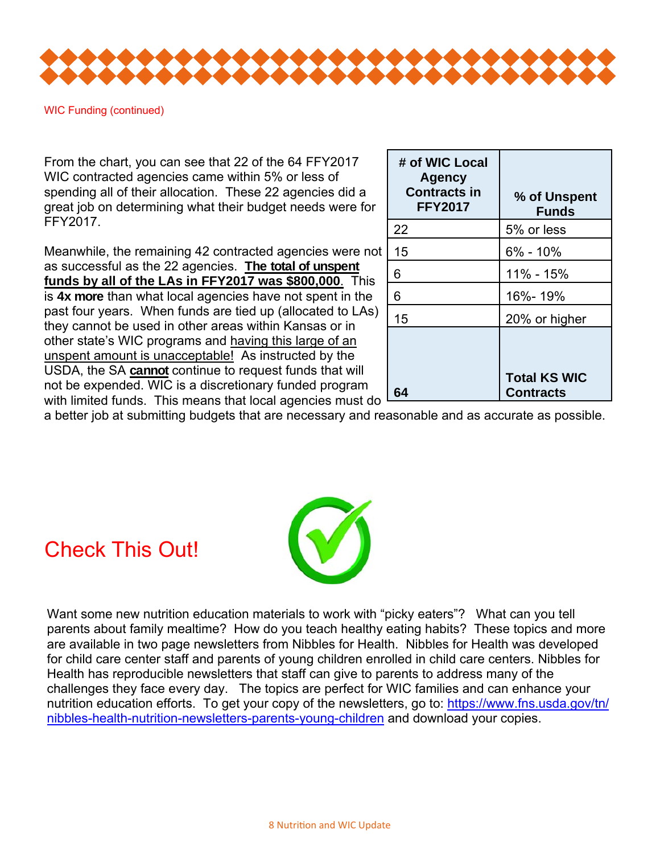

WIC Funding (continued)

From the chart, you can see that 22 of the 64 FFY2017 WIC contracted agencies came within 5% or less of spending all of their allocation. These 22 agencies did a great job on determining what their budget needs were for FFY2017.

Meanwhile, the remaining 42 contracted agencies were not as successful as the 22 agencies. **The total of unspent funds by all of the LAs in FFY2017 was \$800,000**. This is **4x more** than what local agencies have not spent in the past four years. When funds are tied up (allocated to LAs) they cannot be used in other areas within Kansas or in other state's WIC programs and having this large of an unspent amount is unacceptable! As instructed by the USDA, the SA **cannot** continue to request funds that will not be expended. WIC is a discretionary funded program with limited funds. This means that local agencies must do

| # of WIC Local<br><b>Agency</b><br><b>Contracts in</b><br><b>FFY2017</b> | % of Unspent<br><b>Funds</b>            |
|--------------------------------------------------------------------------|-----------------------------------------|
| 22                                                                       | 5% or less                              |
| 15                                                                       | $6\% - 10\%$                            |
| 6                                                                        | 11% - 15%                               |
| 6                                                                        | 16%-19%                                 |
| 15                                                                       | 20% or higher                           |
|                                                                          | <b>Total KS WIC</b><br><b>Contracts</b> |

a better job at submitting budgets that are necessary and reasonable and as accurate as possible.





Want some new nutrition education materials to work with "picky eaters"? What can you tell parents about family mealtime? How do you teach healthy eating habits? These topics and more are available in two page newsletters from Nibbles for Health. Nibbles for Health was developed for child care center staff and parents of young children enrolled in child care centers. Nibbles for Health has reproducible newsletters that staff can give to parents to address many of the challenges they face every day. The topics are perfect for WIC families and can enhance your nutrition education efforts. To get your copy of the newsletters, go to: https://www.fns.usda.gov/tn/ nibbles-health-nutrition-newsletters-parents-young-children and download your copies.